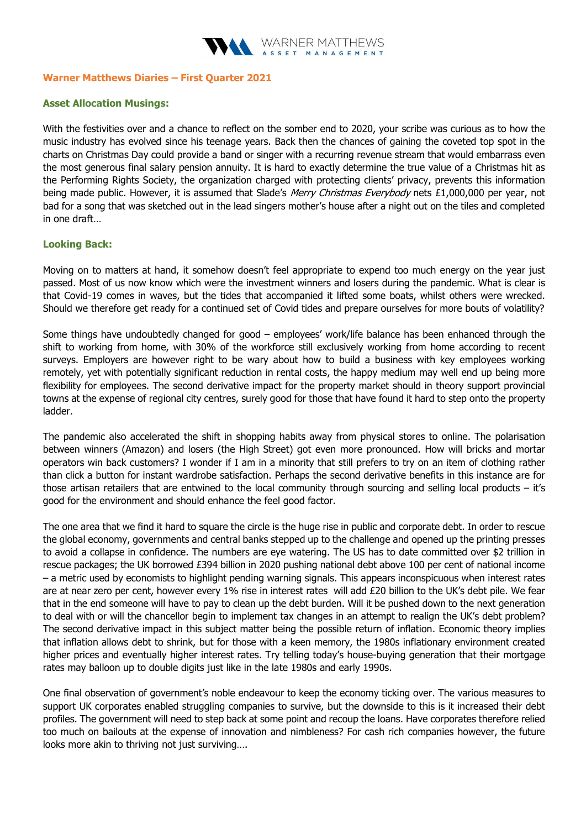

## Warner Matthews Diaries – First Quarter 2021

## Asset Allocation Musings:

With the festivities over and a chance to reflect on the somber end to 2020, your scribe was curious as to how the music industry has evolved since his teenage years. Back then the chances of gaining the coveted top spot in the charts on Christmas Day could provide a band or singer with a recurring revenue stream that would embarrass even the most generous final salary pension annuity. It is hard to exactly determine the true value of a Christmas hit as the Performing Rights Society, the organization charged with protecting clients' privacy, prevents this information being made public. However, it is assumed that Slade's Merry Christmas Everybody nets £1,000,000 per year, not bad for a song that was sketched out in the lead singers mother's house after a night out on the tiles and completed in one draft…

## Looking Back:

Moving on to matters at hand, it somehow doesn't feel appropriate to expend too much energy on the year just passed. Most of us now know which were the investment winners and losers during the pandemic. What is clear is that Covid-19 comes in waves, but the tides that accompanied it lifted some boats, whilst others were wrecked. Should we therefore get ready for a continued set of Covid tides and prepare ourselves for more bouts of volatility?

Some things have undoubtedly changed for good – employees' work/life balance has been enhanced through the shift to working from home, with 30% of the workforce still exclusively working from home according to recent surveys. Employers are however right to be wary about how to build a business with key employees working remotely, yet with potentially significant reduction in rental costs, the happy medium may well end up being more flexibility for employees. The second derivative impact for the property market should in theory support provincial towns at the expense of regional city centres, surely good for those that have found it hard to step onto the property ladder.

The pandemic also accelerated the shift in shopping habits away from physical stores to online. The polarisation between winners (Amazon) and losers (the High Street) got even more pronounced. How will bricks and mortar operators win back customers? I wonder if I am in a minority that still prefers to try on an item of clothing rather than click a button for instant wardrobe satisfaction. Perhaps the second derivative benefits in this instance are for those artisan retailers that are entwined to the local community through sourcing and selling local products – it's good for the environment and should enhance the feel good factor.

The one area that we find it hard to square the circle is the huge rise in public and corporate debt. In order to rescue the global economy, governments and central banks stepped up to the challenge and opened up the printing presses to avoid a collapse in confidence. The numbers are eye watering. The US has to date committed over \$2 trillion in rescue packages; the UK borrowed £394 billion in 2020 pushing national debt above 100 per cent of national income – a metric used by economists to highlight pending warning signals. This appears inconspicuous when interest rates are at near zero per cent, however every 1% rise in interest rates will add £20 billion to the UK's debt pile. We fear that in the end someone will have to pay to clean up the debt burden. Will it be pushed down to the next generation to deal with or will the chancellor begin to implement tax changes in an attempt to realign the UK's debt problem? The second derivative impact in this subject matter being the possible return of inflation. Economic theory implies that inflation allows debt to shrink, but for those with a keen memory, the 1980s inflationary environment created higher prices and eventually higher interest rates. Try telling today's house-buying generation that their mortgage rates may balloon up to double digits just like in the late 1980s and early 1990s.

One final observation of government's noble endeavour to keep the economy ticking over. The various measures to support UK corporates enabled struggling companies to survive, but the downside to this is it increased their debt profiles. The government will need to step back at some point and recoup the loans. Have corporates therefore relied too much on bailouts at the expense of innovation and nimbleness? For cash rich companies however, the future looks more akin to thriving not just surviving….